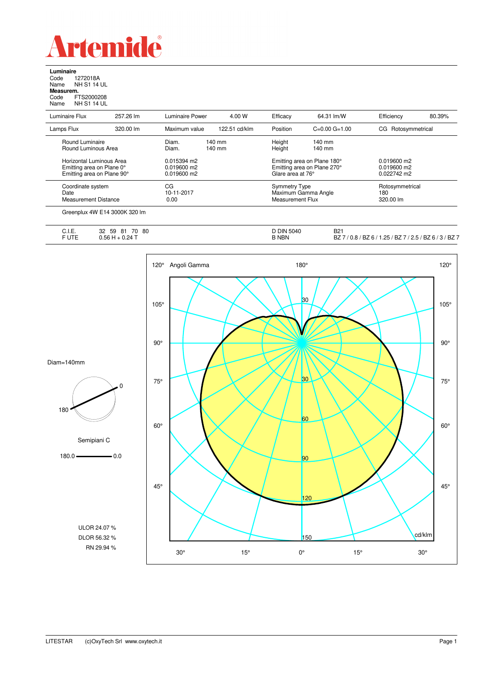

**Luminaire**<br>Code 1<br>Name N re<br>1272018A<br>NH S1 14 UL Name NH S1 14 UL **Measurem.** Code FTS2000208 Name NH S1 14 UL

| Luminaire Flux             | 257.26 lm | <b>Luminaire Power</b> | 4.00 W           | Efficacy             | 64.31 lm/W                  | Efficiency         | 80.39% |
|----------------------------|-----------|------------------------|------------------|----------------------|-----------------------------|--------------------|--------|
| Lamps Flux                 | 320.00 lm | Maximum value          | 122.51 cd/klm    | Position             | $C=0.00$ $G=1.00$           | CG Rotosymmetrical |        |
| Round Luminaire            |           | Diam.                  | $140 \text{ mm}$ | Height               | $140 \text{ mm}$            |                    |        |
| Round Luminous Area        |           | Diam.                  | $140 \text{ mm}$ | Height               | $140 \text{ mm}$            |                    |        |
| Horizontal Luminous Area   |           | 0.015394 m2            |                  |                      | Emitting area on Plane 180° | $0.019600$ m2      |        |
| Emitting area on Plane 0°  |           | $0.019600$ m2          |                  |                      | Emitting area on Plane 270° | $0.019600$ m2      |        |
| Emitting area on Plane 90° |           | 0.019600 m2            |                  | Glare area at 76°    |                             | 0.022742 m2        |        |
| Coordinate system          |           | CG                     |                  | <b>Symmetry Type</b> |                             | Rotosymmetrical    |        |
| Date                       |           | 10-11-2017             |                  | Maximum Gamma Angle  |                             | 180                |        |
| Measurement Distance       |           | 0.00                   |                  | Measurement Flux     |                             | 320.00 lm          |        |

|                | 32<br>$\overline{\phantom{a}}$<br>80<br>$\sim$<br>81<br>70<br>59        | <b>DIN</b><br>l 5040 | <b>B21</b>                                                                                      |
|----------------|-------------------------------------------------------------------------|----------------------|-------------------------------------------------------------------------------------------------|
| ∪.i.⊏.<br>FUTE | 1 F.G<br>$\Omega$ .<br>$\sim$ $\sim$ $\sim$ $\sim$ $\sim$ $\sim$ $\sim$ | <b>B NBN</b>         | $/$ BZ $^-$<br>' つ ら<br>BZ.<br>BZ 67<br>l.25<br>DΖ<br>U.O<br>$\cdot$<br><i></i><br>__<br>$\sim$ |